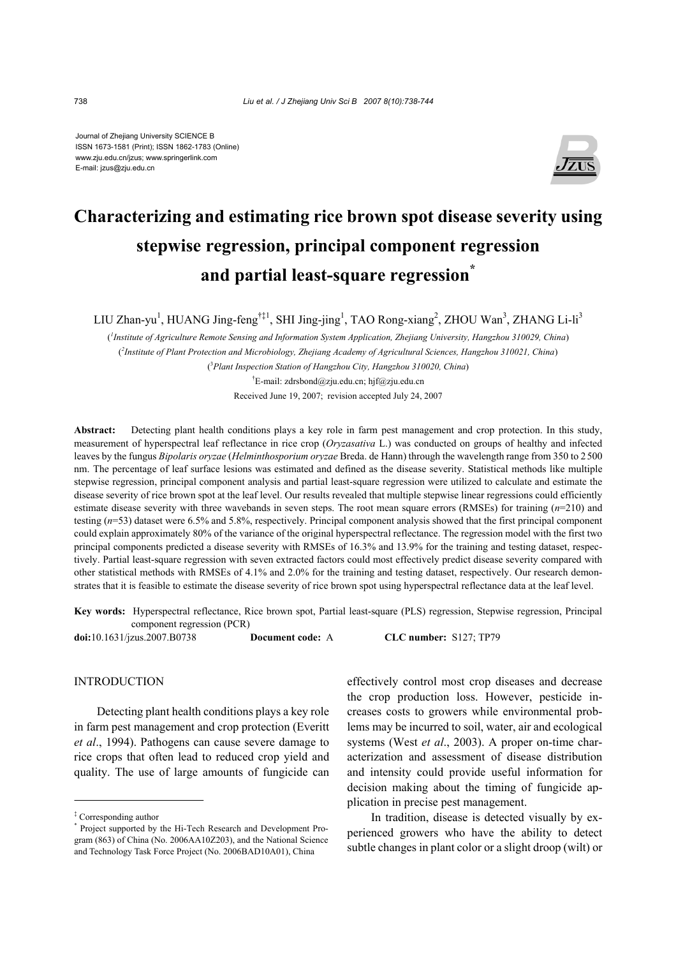Journal of Zhejiang University SCIENCE B ISSN 1673-1581 (Print); ISSN 1862-1783 (Online) www.zju.edu.cn/jzus; www.springerlink.com E-mail: jzus@zju.edu.cn



# **Characterizing and estimating rice brown spot disease severity using stepwise regression, principal component regression and partial least-square regression\***

LIU Zhan-yu<sup>1</sup>, HUANG Jing-feng<sup>†‡1</sup>, SHI Jing-jing<sup>1</sup>, TAO Rong-xiang<sup>2</sup>, ZHOU Wan<sup>3</sup>, ZHANG Li-li<sup>3</sup>

( *1 Institute of Agriculture Remote Sensing and Information System Application, Zhejiang University, Hangzhou 310029, China*) ( *2 Institute of Plant Protection and Microbiology, Zhejiang Academy of Agricultural Sciences, Hangzhou 310021, China*) ( 3 *Plant Inspection Station of Hangzhou City, Hangzhou 310020, China*)

> † E-mail: zdrsbond@zju.edu.cn; hjf@zju.edu.cn Received June 19, 2007; revision accepted July 24, 2007

**Abstract:** Detecting plant health conditions plays a key role in farm pest management and crop protection. In this study, measurement of hyperspectral leaf reflectance in rice crop (*Oryzasativa* L.) was conducted on groups of healthy and infected leaves by the fungus *Bipolaris oryzae* (*Helminthosporium oryzae* Breda. de Hann) through the wavelength range from 350 to 2500 nm. The percentage of leaf surface lesions was estimated and defined as the disease severity. Statistical methods like multiple stepwise regression, principal component analysis and partial least-square regression were utilized to calculate and estimate the disease severity of rice brown spot at the leaf level. Our results revealed that multiple stepwise linear regressions could efficiently estimate disease severity with three wavebands in seven steps. The root mean square errors (RMSEs) for training (*n*=210) and testing (*n*=53) dataset were 6.5% and 5.8%, respectively. Principal component analysis showed that the first principal component could explain approximately 80% of the variance of the original hyperspectral reflectance. The regression model with the first two principal components predicted a disease severity with RMSEs of 16.3% and 13.9% for the training and testing dataset, respectively. Partial least-square regression with seven extracted factors could most effectively predict disease severity compared with other statistical methods with RMSEs of 4.1% and 2.0% for the training and testing dataset, respectively. Our research demonstrates that it is feasible to estimate the disease severity of rice brown spot using hyperspectral reflectance data at the leaf level.

**Key words:** Hyperspectral reflectance, Rice brown spot, Partial least-square (PLS) regression, Stepwise regression, Principal component regression (PCR)

**doi:**10.1631/jzus.2007.B0738 **Document code:** A **CLC number:** S127; TP79

# **INTRODUCTION**

Detecting plant health conditions plays a key role in farm pest management and crop protection (Everitt *et al*., 1994). Pathogens can cause severe damage to rice crops that often lead to reduced crop yield and quality. The use of large amounts of fungicide can

effectively control most crop diseases and decrease the crop production loss. However, pesticide increases costs to growers while environmental problems may be incurred to soil, water, air and ecological systems (West *et al*., 2003). A proper on-time characterization and assessment of disease distribution and intensity could provide useful information for decision making about the timing of fungicide application in precise pest management.

In tradition, disease is detected visually by experienced growers who have the ability to detect subtle changes in plant color or a slight droop (wilt) or

<sup>‡</sup> Corresponding author

<sup>\*</sup> Project supported by the Hi-Tech Research and Development Program (863) of China (No. 2006AA10Z203), and the National Science and Technology Task Force Project (No. 2006BAD10A01), China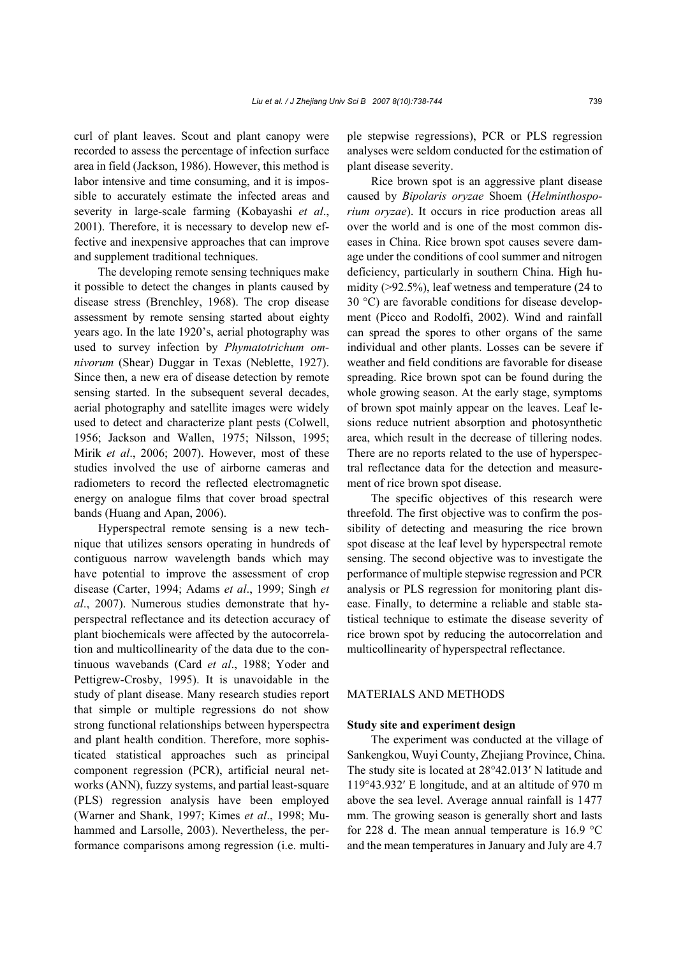curl of plant leaves. Scout and plant canopy were recorded to assess the percentage of infection surface area in field (Jackson, 1986). However, this method is labor intensive and time consuming, and it is impossible to accurately estimate the infected areas and severity in large-scale farming (Kobayashi *et al*., 2001). Therefore, it is necessary to develop new effective and inexpensive approaches that can improve and supplement traditional techniques.

The developing remote sensing techniques make it possible to detect the changes in plants caused by disease stress (Brenchley, 1968). The crop disease assessment by remote sensing started about eighty years ago. In the late 1920's, aerial photography was used to survey infection by *Phymatotrichum omnivorum* (Shear) Duggar in Texas (Neblette, 1927). Since then, a new era of disease detection by remote sensing started. In the subsequent several decades, aerial photography and satellite images were widely used to detect and characterize plant pests (Colwell, 1956; Jackson and Wallen, 1975; Nilsson, 1995; Mirik *et al*., 2006; 2007). However, most of these studies involved the use of airborne cameras and radiometers to record the reflected electromagnetic energy on analogue films that cover broad spectral bands (Huang and Apan, 2006).

Hyperspectral remote sensing is a new technique that utilizes sensors operating in hundreds of contiguous narrow wavelength bands which may have potential to improve the assessment of crop disease (Carter, 1994; Adams *et al*., 1999; Singh *et al*., 2007). Numerous studies demonstrate that hyperspectral reflectance and its detection accuracy of plant biochemicals were affected by the autocorrelation and multicollinearity of the data due to the continuous wavebands (Card *et al*., 1988; Yoder and Pettigrew-Crosby, 1995). It is unavoidable in the study of plant disease. Many research studies report that simple or multiple regressions do not show strong functional relationships between hyperspectra and plant health condition. Therefore, more sophisticated statistical approaches such as principal component regression (PCR), artificial neural networks (ANN), fuzzy systems, and partial least-square (PLS) regression analysis have been employed (Warner and Shank, 1997; Kimes *et al*., 1998; Muhammed and Larsolle, 2003). Nevertheless, the performance comparisons among regression (i.e. multiple stepwise regressions), PCR or PLS regression analyses were seldom conducted for the estimation of plant disease severity.

Rice brown spot is an aggressive plant disease caused by *Bipolaris oryzae* Shoem (*Helminthosporium oryzae*). It occurs in rice production areas all over the world and is one of the most common diseases in China. Rice brown spot causes severe damage under the conditions of cool summer and nitrogen deficiency, particularly in southern China. High humidity (>92.5%), leaf wetness and temperature (24 to 30 °C) are favorable conditions for disease development (Picco and Rodolfi, 2002). Wind and rainfall can spread the spores to other organs of the same individual and other plants. Losses can be severe if weather and field conditions are favorable for disease spreading. Rice brown spot can be found during the whole growing season. At the early stage, symptoms of brown spot mainly appear on the leaves. Leaf lesions reduce nutrient absorption and photosynthetic area, which result in the decrease of tillering nodes. There are no reports related to the use of hyperspectral reflectance data for the detection and measurement of rice brown spot disease.

The specific objectives of this research were threefold. The first objective was to confirm the possibility of detecting and measuring the rice brown spot disease at the leaf level by hyperspectral remote sensing. The second objective was to investigate the performance of multiple stepwise regression and PCR analysis or PLS regression for monitoring plant disease. Finally, to determine a reliable and stable statistical technique to estimate the disease severity of rice brown spot by reducing the autocorrelation and multicollinearity of hyperspectral reflectance.

# MATERIALS AND METHODS

### **Study site and experiment design**

The experiment was conducted at the village of Sankengkou, Wuyi County, Zhejiang Province, China. The study site is located at 28°42.013′ N latitude and 119°43.932′ E longitude, and at an altitude of 970 m above the sea level. Average annual rainfall is 1477 mm. The growing season is generally short and lasts for 228 d. The mean annual temperature is 16.9 °C and the mean temperatures in January and July are 4.7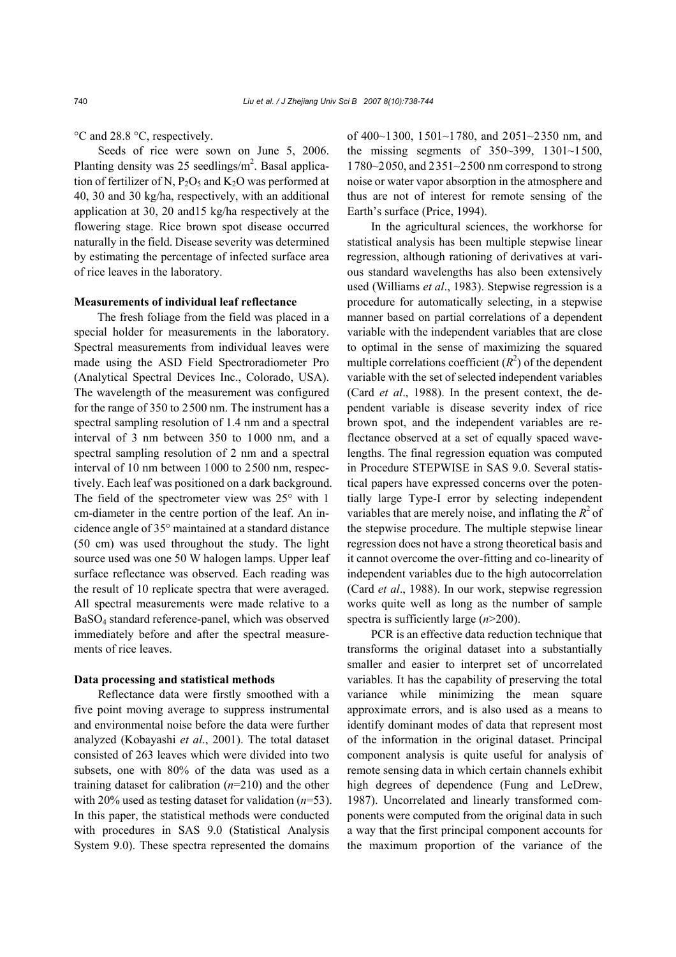°C and 28.8 °C, respectively.

Seeds of rice were sown on June 5, 2006. Planting density was  $25$  seedlings/ $m<sup>2</sup>$ . Basal application of fertilizer of N,  $P_2O_5$  and  $K_2O$  was performed at 40, 30 and 30 kg/ha, respectively, with an additional application at 30, 20 and15 kg/ha respectively at the flowering stage. Rice brown spot disease occurred naturally in the field. Disease severity was determined by estimating the percentage of infected surface area of rice leaves in the laboratory.

### **Measurements of individual leaf reflectance**

The fresh foliage from the field was placed in a special holder for measurements in the laboratory. Spectral measurements from individual leaves were made using the ASD Field Spectroradiometer Pro (Analytical Spectral Devices Inc., Colorado, USA). The wavelength of the measurement was configured for the range of 350 to 2500 nm. The instrument has a spectral sampling resolution of 1.4 nm and a spectral interval of 3 nm between 350 to 1000 nm, and a spectral sampling resolution of 2 nm and a spectral interval of 10 nm between 1000 to 2500 nm, respectively. Each leaf was positioned on a dark background. The field of the spectrometer view was 25° with 1 cm-diameter in the centre portion of the leaf. An incidence angle of 35° maintained at a standard distance (50 cm) was used throughout the study. The light source used was one 50 W halogen lamps. Upper leaf surface reflectance was observed. Each reading was the result of 10 replicate spectra that were averaged. All spectral measurements were made relative to a BaSO4 standard reference-panel, which was observed immediately before and after the spectral measurements of rice leaves.

## **Data processing and statistical methods**

Reflectance data were firstly smoothed with a five point moving average to suppress instrumental and environmental noise before the data were further analyzed (Kobayashi *et al*., 2001). The total dataset consisted of 263 leaves which were divided into two subsets, one with 80% of the data was used as a training dataset for calibration (*n*=210) and the other with 20% used as testing dataset for validation (*n*=53). In this paper, the statistical methods were conducted with procedures in SAS 9.0 (Statistical Analysis System 9.0). These spectra represented the domains

of 400~1300, 1501~1780, and 2051~2350 nm, and the missing segments of 350~399, 1301~1500, 1780~2050, and 2351~2500 nm correspond to strong noise or water vapor absorption in the atmosphere and thus are not of interest for remote sensing of the Earth's surface (Price, 1994).

In the agricultural sciences, the workhorse for statistical analysis has been multiple stepwise linear regression, although rationing of derivatives at various standard wavelengths has also been extensively used (Williams *et al*., 1983). Stepwise regression is a procedure for automatically selecting, in a stepwise manner based on partial correlations of a dependent variable with the independent variables that are close to optimal in the sense of maximizing the squared multiple correlations coefficient  $(R^2)$  of the dependent variable with the set of selected independent variables (Card *et al*., 1988). In the present context, the dependent variable is disease severity index of rice brown spot, and the independent variables are reflectance observed at a set of equally spaced wavelengths. The final regression equation was computed in Procedure STEPWISE in SAS 9.0. Several statistical papers have expressed concerns over the potentially large Type-I error by selecting independent variables that are merely noise, and inflating the  $R^2$  of the stepwise procedure. The multiple stepwise linear regression does not have a strong theoretical basis and it cannot overcome the over-fitting and co-linearity of independent variables due to the high autocorrelation (Card *et al*., 1988). In our work, stepwise regression works quite well as long as the number of sample spectra is sufficiently large (*n*>200).

PCR is an effective data reduction technique that transforms the original dataset into a substantially smaller and easier to interpret set of uncorrelated variables. It has the capability of preserving the total variance while minimizing the mean square approximate errors, and is also used as a means to identify dominant modes of data that represent most of the information in the original dataset. Principal component analysis is quite useful for analysis of remote sensing data in which certain channels exhibit high degrees of dependence (Fung and LeDrew, 1987). Uncorrelated and linearly transformed components were computed from the original data in such a way that the first principal component accounts for the maximum proportion of the variance of the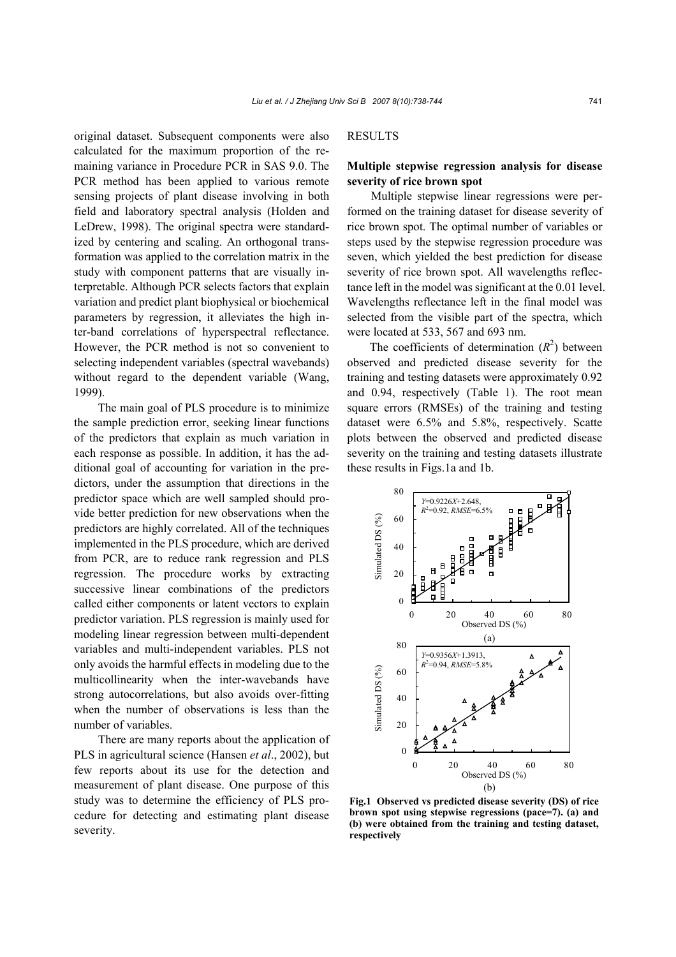original dataset. Subsequent components were also calculated for the maximum proportion of the remaining variance in Procedure PCR in SAS 9.0. The PCR method has been applied to various remote sensing projects of plant disease involving in both field and laboratory spectral analysis (Holden and LeDrew, 1998). The original spectra were standardized by centering and scaling. An orthogonal transformation was applied to the correlation matrix in the study with component patterns that are visually interpretable. Although PCR selects factors that explain variation and predict plant biophysical or biochemical parameters by regression, it alleviates the high inter-band correlations of hyperspectral reflectance. However, the PCR method is not so convenient to selecting independent variables (spectral wavebands) without regard to the dependent variable (Wang, 1999).

The main goal of PLS procedure is to minimize the sample prediction error, seeking linear functions of the predictors that explain as much variation in each response as possible. In addition, it has the additional goal of accounting for variation in the predictors, under the assumption that directions in the predictor space which are well sampled should provide better prediction for new observations when the predictors are highly correlated. All of the techniques implemented in the PLS procedure, which are derived from PCR, are to reduce rank regression and PLS regression. The procedure works by extracting successive linear combinations of the predictors called either components or latent vectors to explain predictor variation. PLS regression is mainly used for modeling linear regression between multi-dependent variables and multi-independent variables. PLS not only avoids the harmful effects in modeling due to the multicollinearity when the inter-wavebands have strong autocorrelations, but also avoids over-fitting when the number of observations is less than the number of variables.

There are many reports about the application of PLS in agricultural science (Hansen *et al*., 2002), but few reports about its use for the detection and measurement of plant disease. One purpose of this study was to determine the efficiency of PLS procedure for detecting and estimating plant disease severity.

# RESULTS

# **Multiple stepwise regression analysis for disease severity of rice brown spot**

Multiple stepwise linear regressions were performed on the training dataset for disease severity of rice brown spot. The optimal number of variables or steps used by the stepwise regression procedure was seven, which yielded the best prediction for disease severity of rice brown spot. All wavelengths reflectance left in the model was significant at the 0.01 level. Wavelengths reflectance left in the final model was selected from the visible part of the spectra, which were located at 533, 567 and 693 nm.

The coefficients of determination  $(R^2)$  between observed and predicted disease severity for the training and testing datasets were approximately 0.92 and 0.94, respectively (Table 1). The root mean square errors (RMSEs) of the training and testing dataset were 6.5% and 5.8%, respectively. Scatte plots between the observed and predicted disease severity on the training and testing datasets illustrate these results in Figs.1a and 1b.



**Fig.1 Observed vs predicted disease severity (DS) of rice brown spot using stepwise regressions (pace=7). (a) and (b) were obtained from the training and testing dataset, respectively**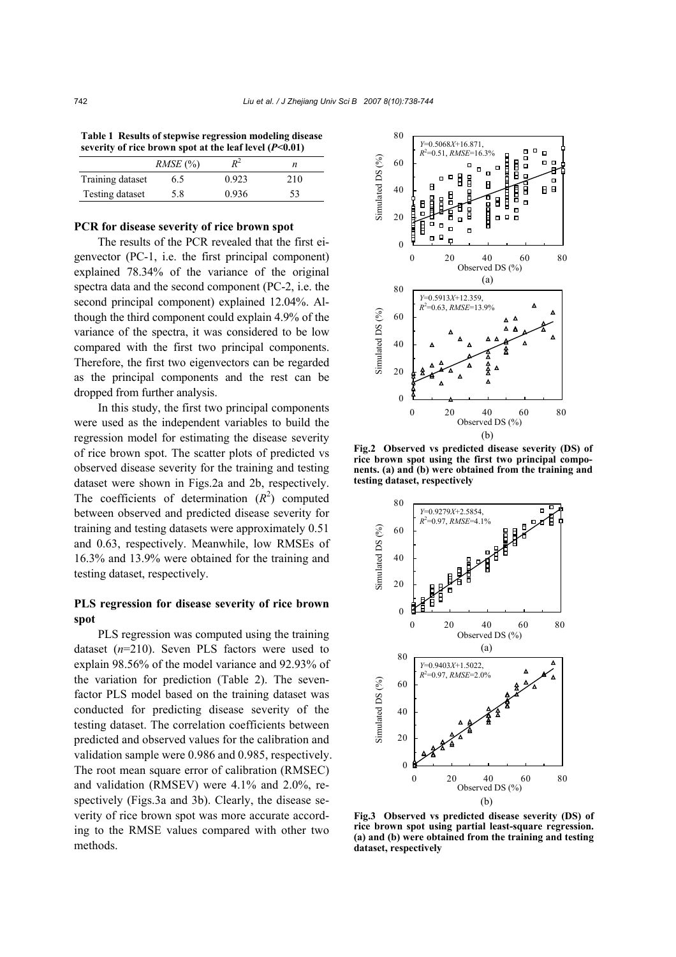**Table 1 Results of stepwise regression modeling disease severity of rice brown spot at the leaf level (***P***<0.01)**

|                  | $RMSE$ (%) | p2    | n   |
|------------------|------------|-------|-----|
| Training dataset | 6.5        | 0.923 | 210 |
| Testing dataset  | 5.8        | 0.936 | 53  |
|                  |            |       |     |

## **PCR for disease severity of rice brown spot**

The results of the PCR revealed that the first eigenvector (PC-1, i.e. the first principal component) explained 78.34% of the variance of the original spectra data and the second component (PC-2, i.e. the second principal component) explained 12.04%. Although the third component could explain 4.9% of the variance of the spectra, it was considered to be low compared with the first two principal components. Therefore, the first two eigenvectors can be regarded as the principal components and the rest can be dropped from further analysis.

In this study, the first two principal components were used as the independent variables to build the regression model for estimating the disease severity of rice brown spot. The scatter plots of predicted vs observed disease severity for the training and testing dataset were shown in Figs.2a and 2b, respectively. The coefficients of determination  $(R^2)$  computed between observed and predicted disease severity for training and testing datasets were approximately 0.51 and 0.63, respectively. Meanwhile, low RMSEs of 16.3% and 13.9% were obtained for the training and testing dataset, respectively.

# **PLS regression for disease severity of rice brown spot**

PLS regression was computed using the training dataset (*n*=210). Seven PLS factors were used to explain 98.56% of the model variance and 92.93% of the variation for prediction (Table 2). The sevenfactor PLS model based on the training dataset was conducted for predicting disease severity of the testing dataset. The correlation coefficients between predicted and observed values for the calibration and validation sample were 0.986 and 0.985, respectively. The root mean square error of calibration (RMSEC) and validation (RMSEV) were 4.1% and 2.0%, respectively (Figs.3a and 3b). Clearly, the disease severity of rice brown spot was more accurate according to the RMSE values compared with other two methods.



**Fig.2 Observed vs predicted disease severity (DS) of rice brown spot using the first two principal components. (a) and (b) were obtained from the training and testing dataset, respectively**



**Fig.3 Observed vs predicted disease severity (DS) of rice brown spot using partial least-square regression. (a) and (b) were obtained from the training and testing dataset, respectively**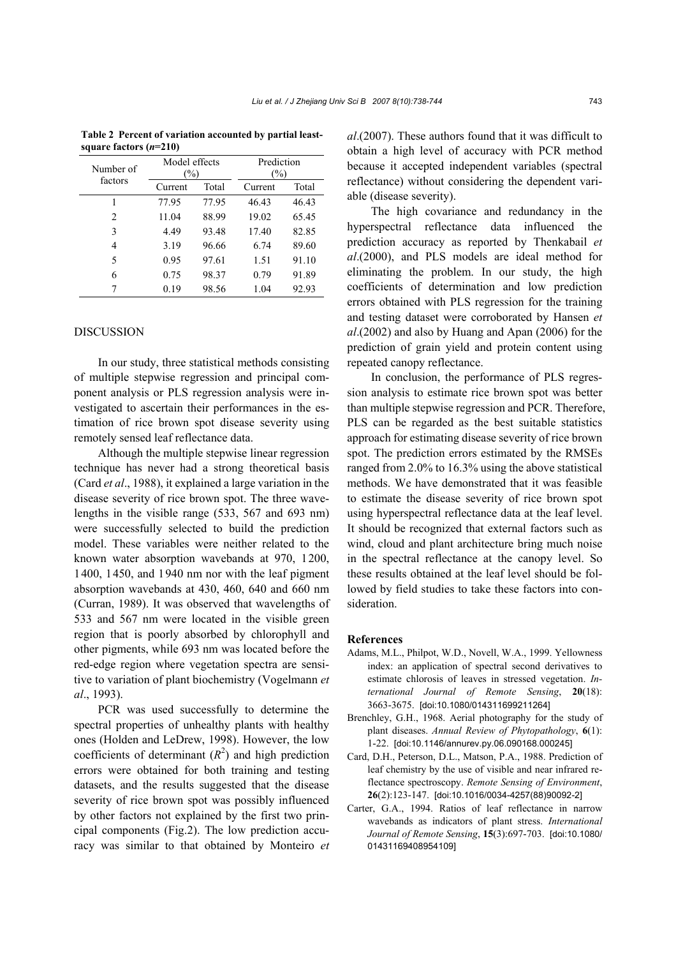| Number of<br>factors | Model effects<br>$(\%)$ |       | Prediction<br>$(\%)$ |       |
|----------------------|-------------------------|-------|----------------------|-------|
|                      | Current                 | Total | Current              | Total |
|                      | 77.95                   | 77.95 | 46.43                | 46.43 |
| 2                    | 11.04                   | 88.99 | 19.02                | 65.45 |
| 3                    | 4.49                    | 93.48 | 17.40                | 82.85 |
| 4                    | 3.19                    | 96.66 | 6.74                 | 89.60 |
| 5                    | 0.95                    | 97.61 | 1.51                 | 91.10 |
| 6                    | 0.75                    | 98.37 | 0.79                 | 91.89 |
|                      | 0.19                    | 98.56 | 1.04                 | 92.93 |

**Table 2 Percent of variation accounted by partial leastsquare factors (***n***=210)**

### **DISCUSSION**

In our study, three statistical methods consisting of multiple stepwise regression and principal component analysis or PLS regression analysis were investigated to ascertain their performances in the estimation of rice brown spot disease severity using remotely sensed leaf reflectance data.

Although the multiple stepwise linear regression technique has never had a strong theoretical basis (Card *et al*., 1988), it explained a large variation in the disease severity of rice brown spot. The three wavelengths in the visible range (533, 567 and 693 nm) were successfully selected to build the prediction model. These variables were neither related to the known water absorption wavebands at 970, 1200, 1400, 1450, and 1940 nm nor with the leaf pigment absorption wavebands at 430, 460, 640 and 660 nm (Curran, 1989). It was observed that wavelengths of 533 and 567 nm were located in the visible green region that is poorly absorbed by chlorophyll and other pigments, while 693 nm was located before the red-edge region where vegetation spectra are sensitive to variation of plant biochemistry (Vogelmann *et al*., 1993).

PCR was used successfully to determine the spectral properties of unhealthy plants with healthy ones (Holden and LeDrew, 1998). However, the low coefficients of determinant  $(R^2)$  and high prediction errors were obtained for both training and testing datasets, and the results suggested that the disease severity of rice brown spot was possibly influenced by other factors not explained by the first two principal components (Fig.2). The low prediction accuracy was similar to that obtained by Monteiro *et* 

*al*.(2007). These authors found that it was difficult to obtain a high level of accuracy with PCR method because it accepted independent variables (spectral reflectance) without considering the dependent variable (disease severity).

The high covariance and redundancy in the hyperspectral reflectance data influenced the prediction accuracy as reported by Thenkabail *et al*.(2000), and PLS models are ideal method for eliminating the problem. In our study, the high coefficients of determination and low prediction errors obtained with PLS regression for the training and testing dataset were corroborated by Hansen *et al*.(2002) and also by Huang and Apan (2006) for the prediction of grain yield and protein content using repeated canopy reflectance.

In conclusion, the performance of PLS regression analysis to estimate rice brown spot was better than multiple stepwise regression and PCR. Therefore, PLS can be regarded as the best suitable statistics approach for estimating disease severity of rice brown spot. The prediction errors estimated by the RMSEs ranged from 2.0% to 16.3% using the above statistical methods. We have demonstrated that it was feasible to estimate the disease severity of rice brown spot using hyperspectral reflectance data at the leaf level. It should be recognized that external factors such as wind, cloud and plant architecture bring much noise in the spectral reflectance at the canopy level. So these results obtained at the leaf level should be followed by field studies to take these factors into consideration.

#### **References**

- Adams, M.L., Philpot, W.D., Novell, W.A., 1999. Yellowness index: an application of spectral second derivatives to estimate chlorosis of leaves in stressed vegetation. *International Journal of Remote Sensing*, **20**(18): 3663-3675. [doi:10.1080/014311699211264]
- Brenchley, G.H., 1968. Aerial photography for the study of plant diseases. *Annual Review of Phytopathology*, **6**(1): 1-22. [doi:10.1146/annurev.py.06.090168.000245]
- Card, D.H., Peterson, D.L., Matson, P.A., 1988. Prediction of leaf chemistry by the use of visible and near infrared reflectance spectroscopy. *Remote Sensing of Environment*, **26**(2):123-147. [doi:10.1016/0034-4257(88)90092-2]
- Carter, G.A., 1994. Ratios of leaf reflectance in narrow wavebands as indicators of plant stress. *International Journal of Remote Sensing*, **15**(3):697-703. [doi:10.1080/ 01431169408954109]